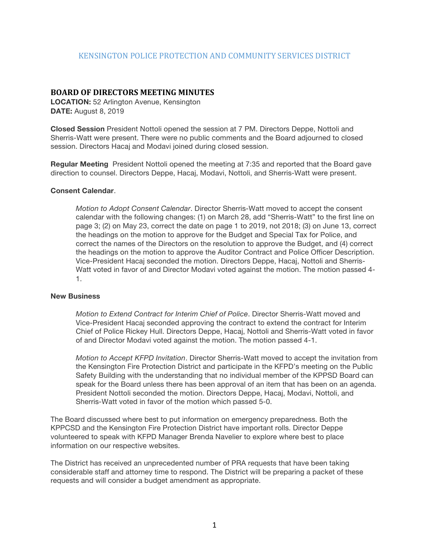## KENSINGTON POLICE PROTECTION AND COMMUNITY SERVICES DISTRICT

## **BOARD OF DIRECTORS MEETING MINUTES**

**LOCATION:** 52 Arlington Avenue, Kensington **DATE:** August 8, 2019

**Closed Session** President Nottoli opened the session at 7 PM. Directors Deppe, Nottoli and Sherris-Watt were present. There were no public comments and the Board adjourned to closed session. Directors Hacaj and Modavi joined during closed session.

**Regular Meeting** President Nottoli opened the meeting at 7:35 and reported that the Board gave direction to counsel. Directors Deppe, Hacaj, Modavi, Nottoli, and Sherris-Watt were present.

## **Consent Calendar**.

*Motion to Adopt Consent Calendar*. Director Sherris-Watt moved to accept the consent calendar with the following changes: (1) on March 28, add "Sherris-Watt" to the first line on page 3; (2) on May 23, correct the date on page 1 to 2019, not 2018; (3) on June 13, correct the headings on the motion to approve for the Budget and Special Tax for Police, and correct the names of the Directors on the resolution to approve the Budget, and (4) correct the headings on the motion to approve the Auditor Contract and Police Officer Description. Vice-President Hacaj seconded the motion. Directors Deppe, Hacaj, Nottoli and Sherris-Watt voted in favor of and Director Modavi voted against the motion. The motion passed 4- 1.

## **New Business**

*Motion to Extend Contract for Interim Chief of Police*. Director Sherris-Watt moved and Vice-President Hacaj seconded approving the contract to extend the contract for Interim Chief of Police Rickey Hull. Directors Deppe, Hacaj, Nottoli and Sherris-Watt voted in favor of and Director Modavi voted against the motion. The motion passed 4-1.

*Motion to Accept KFPD Invitation*. Director Sherris-Watt moved to accept the invitation from the Kensington Fire Protection District and participate in the KFPD's meeting on the Public Safety Building with the understanding that no individual member of the KPPSD Board can speak for the Board unless there has been approval of an item that has been on an agenda. President Nottoli seconded the motion. Directors Deppe, Hacaj, Modavi, Nottoli, and Sherris-Watt voted in favor of the motion which passed 5-0.

The Board discussed where best to put information on emergency preparedness. Both the KPPCSD and the Kensington Fire Protection District have important rolls. Director Deppe volunteered to speak with KFPD Manager Brenda Navelier to explore where best to place information on our respective websites.

The District has received an unprecedented number of PRA requests that have been taking considerable staff and attorney time to respond. The District will be preparing a packet of these requests and will consider a budget amendment as appropriate.